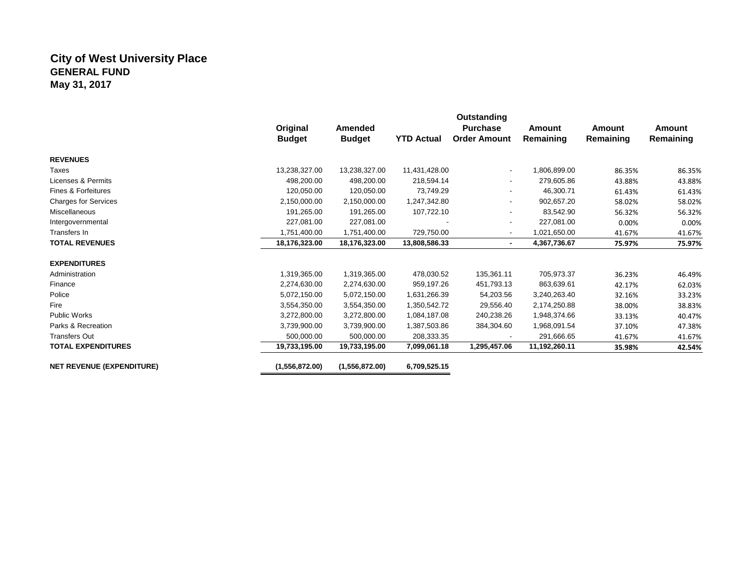## **City of West University Place GENERAL FUND May 31, 2017**

|                                  | Original<br><b>Budget</b> | Amended<br><b>Budget</b> | <b>YTD Actual</b> | Outstanding<br><b>Purchase</b><br><b>Order Amount</b> | <b>Amount</b><br>Remaining | <b>Amount</b><br>Remaining | Amount<br>Remaining |
|----------------------------------|---------------------------|--------------------------|-------------------|-------------------------------------------------------|----------------------------|----------------------------|---------------------|
| <b>REVENUES</b>                  |                           |                          |                   |                                                       |                            |                            |                     |
| Taxes                            | 13,238,327.00             | 13,238,327.00            | 11,431,428.00     | $\overline{\phantom{a}}$                              | 1,806,899.00               | 86.35%                     | 86.35%              |
| Licenses & Permits               | 498,200.00                | 498,200.00               | 218,594.14        | $\overline{\phantom{a}}$                              | 279,605.86                 | 43.88%                     | 43.88%              |
| Fines & Forfeitures              | 120,050.00                | 120,050.00               | 73,749.29         | $\overline{\phantom{a}}$                              | 46,300.71                  | 61.43%                     | 61.43%              |
| <b>Charges for Services</b>      | 2,150,000.00              | 2,150,000.00             | 1,247,342.80      | $\overline{\phantom{a}}$                              | 902,657.20                 | 58.02%                     | 58.02%              |
| Miscellaneous                    | 191,265.00                | 191,265.00               | 107,722.10        | $\overline{\phantom{a}}$                              | 83,542.90                  | 56.32%                     | 56.32%              |
| Intergovernmental                | 227,081.00                | 227,081.00               |                   | $\overline{\phantom{a}}$                              | 227,081.00                 | 0.00%                      | 0.00%               |
| Transfers In                     | 1,751,400.00              | 1,751,400.00             | 729,750.00        | $\overline{\phantom{a}}$                              | 1,021,650.00               | 41.67%                     | 41.67%              |
| <b>TOTAL REVENUES</b>            | 18,176,323.00             | 18,176,323.00            | 13,808,586.33     | $\blacksquare$                                        | 4,367,736.67               | 75.97%                     | 75.97%              |
|                                  |                           |                          |                   |                                                       |                            |                            |                     |
| <b>EXPENDITURES</b>              |                           |                          |                   |                                                       |                            |                            |                     |
| Administration                   | 1,319,365.00              | 1,319,365.00             | 478,030.52        | 135,361.11                                            | 705,973.37                 | 36.23%                     | 46.49%              |
| Finance                          | 2,274,630.00              | 2,274,630.00             | 959,197.26        | 451,793.13                                            | 863,639.61                 | 42.17%                     | 62.03%              |
| Police                           | 5,072,150.00              | 5,072,150.00             | 1,631,266.39      | 54,203.56                                             | 3,240,263.40               | 32.16%                     | 33.23%              |
| Fire                             | 3,554,350.00              | 3,554,350.00             | 1,350,542.72      | 29,556.40                                             | 2,174,250.88               | 38.00%                     | 38.83%              |
| <b>Public Works</b>              | 3,272,800.00              | 3,272,800.00             | 1,084,187.08      | 240,238.26                                            | 1,948,374.66               | 33.13%                     | 40.47%              |
| Parks & Recreation               | 3,739,900.00              | 3,739,900.00             | 1,387,503.86      | 384,304.60                                            | 1,968,091.54               | 37.10%                     | 47.38%              |
| <b>Transfers Out</b>             | 500,000.00                | 500,000.00               | 208,333.35        |                                                       | 291,666.65                 | 41.67%                     | 41.67%              |
| <b>TOTAL EXPENDITURES</b>        | 19,733,195.00             | 19,733,195.00            | 7,099,061.18      | 1,295,457.06                                          | 11,192,260.11              | 35.98%                     | 42.54%              |
| <b>NET REVENUE (EXPENDITURE)</b> | (1,556,872.00)            | (1,556,872.00)           | 6,709,525.15      |                                                       |                            |                            |                     |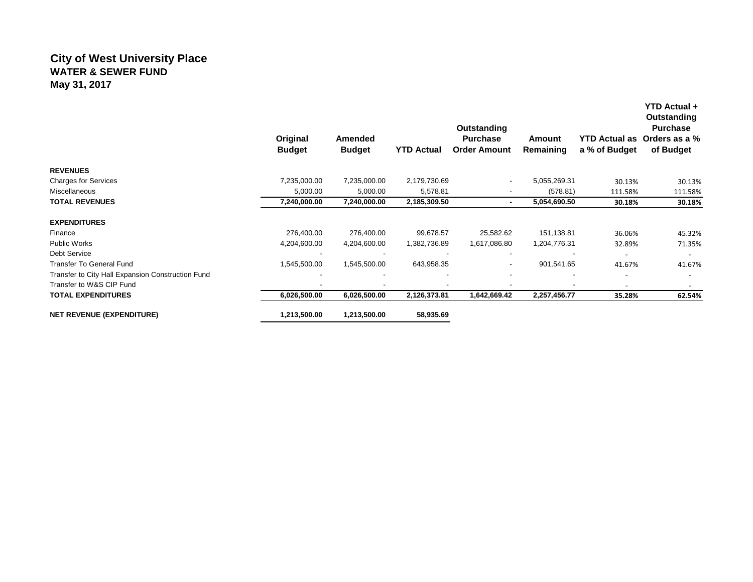# **City of West University Place WATER & SEWER FUND May 31, 2017**

|                                                   | Original<br><b>Budget</b> | Amended<br><b>Budget</b> | <b>YTD Actual</b>        | Outstanding<br><b>Purchase</b><br><b>Order Amount</b> | Amount<br>Remaining | <b>YTD Actual as</b><br>a % of Budget | YTD Actual +<br>Outstanding<br><b>Purchase</b><br>Orders as a %<br>of Budget |
|---------------------------------------------------|---------------------------|--------------------------|--------------------------|-------------------------------------------------------|---------------------|---------------------------------------|------------------------------------------------------------------------------|
| <b>REVENUES</b>                                   |                           |                          |                          |                                                       |                     |                                       |                                                                              |
| <b>Charges for Services</b>                       | 7,235,000.00              | 7,235,000.00             | 2,179,730.69             |                                                       | 5,055,269.31        | 30.13%                                | 30.13%                                                                       |
| Miscellaneous                                     | 5,000.00                  | 5,000.00                 | 5,578.81                 |                                                       | (578.81)            | 111.58%                               | 111.58%                                                                      |
| <b>TOTAL REVENUES</b>                             | 7,240,000.00              | 7,240,000.00             | 2,185,309.50             |                                                       | 5,054,690.50        | 30.18%                                | 30.18%                                                                       |
| <b>EXPENDITURES</b>                               |                           |                          |                          |                                                       |                     |                                       |                                                                              |
| Finance                                           | 276,400.00                | 276,400.00               | 99,678.57                | 25,582.62                                             | 151,138.81          | 36.06%                                | 45.32%                                                                       |
| <b>Public Works</b>                               | 4,204,600.00              | 4,204,600.00             | 1,382,736.89             | 1,617,086.80                                          | 1,204,776.31        | 32.89%                                | 71.35%                                                                       |
| <b>Debt Service</b>                               |                           |                          | $\overline{\phantom{a}}$ |                                                       |                     | $\overline{\phantom{a}}$              | $\overline{\phantom{a}}$                                                     |
| <b>Transfer To General Fund</b>                   | 1,545,500.00              | 1,545,500.00             | 643,958.35               | ۰                                                     | 901,541.65          | 41.67%                                | 41.67%                                                                       |
| Transfer to City Hall Expansion Construction Fund |                           | $\overline{\phantom{a}}$ |                          |                                                       |                     |                                       |                                                                              |
| Transfer to W&S CIP Fund                          |                           |                          |                          |                                                       |                     | $\overline{\phantom{0}}$              |                                                                              |
| <b>TOTAL EXPENDITURES</b>                         | 6,026,500.00              | 6,026,500.00             | 2,126,373.81             | 1,642,669.42                                          | 2,257,456.77        | 35.28%                                | 62.54%                                                                       |
| <b>NET REVENUE (EXPENDITURE)</b>                  | 1,213,500.00              | 1,213,500.00             | 58,935.69                |                                                       |                     |                                       |                                                                              |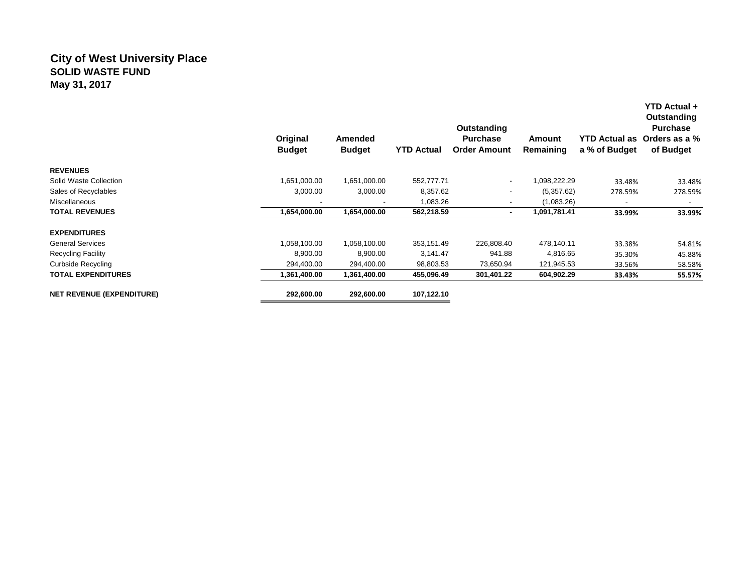## **City of West University Place SOLID WASTE FUND May 31, 2017**

|                                  | Original<br><b>Budget</b> | Amended<br><b>Budget</b> | <b>YTD Actual</b> | <b>Outstanding</b><br><b>Purchase</b><br><b>Order Amount</b> | Amount<br>Remaining | <b>YTD Actual as</b><br>a % of Budget | YTD Actual +<br>Outstanding<br><b>Purchase</b><br>Orders as a %<br>of Budget |
|----------------------------------|---------------------------|--------------------------|-------------------|--------------------------------------------------------------|---------------------|---------------------------------------|------------------------------------------------------------------------------|
| <b>REVENUES</b>                  |                           |                          |                   |                                                              |                     |                                       |                                                                              |
| Solid Waste Collection           | 1,651,000.00              | 1,651,000.00             | 552,777.71        | $\overline{\phantom{a}}$                                     | 1,098,222.29        | 33.48%                                | 33.48%                                                                       |
| Sales of Recyclables             | 3,000.00                  | 3,000.00                 | 8,357.62          |                                                              | (5,357.62)          | 278.59%                               | 278.59%                                                                      |
| Miscellaneous                    |                           |                          | 1,083.26          |                                                              | (1,083.26)          |                                       |                                                                              |
| <b>TOTAL REVENUES</b>            | 1,654,000.00              | 1,654,000.00             | 562,218.59        | $\blacksquare$                                               | 1,091,781.41        | 33.99%                                | 33.99%                                                                       |
| <b>EXPENDITURES</b>              |                           |                          |                   |                                                              |                     |                                       |                                                                              |
| <b>General Services</b>          | 1,058,100.00              | 1,058,100.00             | 353,151.49        | 226,808.40                                                   | 478,140.11          | 33.38%                                | 54.81%                                                                       |
| <b>Recycling Facility</b>        | 8,900.00                  | 8,900.00                 | 3,141.47          | 941.88                                                       | 4,816.65            | 35.30%                                | 45.88%                                                                       |
| <b>Curbside Recycling</b>        | 294,400.00                | 294,400.00               | 98,803.53         | 73,650.94                                                    | 121,945.53          | 33.56%                                | 58.58%                                                                       |
| <b>TOTAL EXPENDITURES</b>        | 1,361,400.00              | 1,361,400.00             | 455,096.49        | 301,401.22                                                   | 604,902.29          | 33.43%                                | 55.57%                                                                       |
| <b>NET REVENUE (EXPENDITURE)</b> | 292,600.00                | 292,600.00               | 107,122.10        |                                                              |                     |                                       |                                                                              |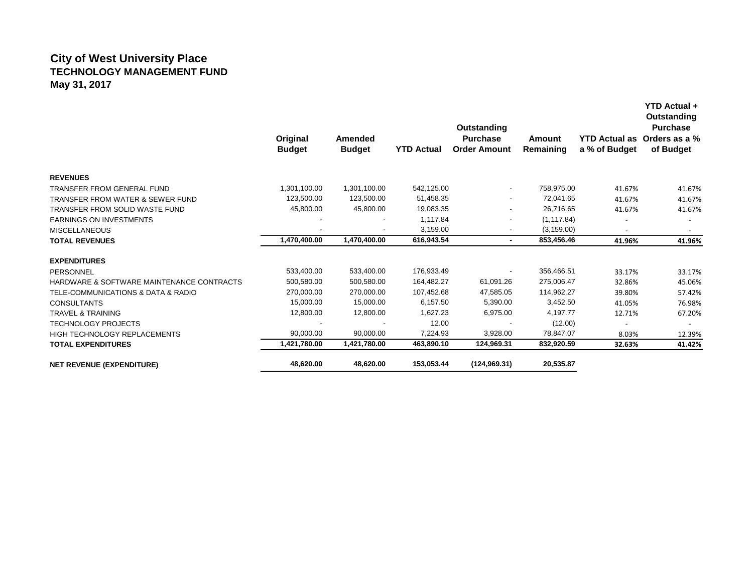## **City of West University Place TECHNOLOGY MANAGEMENT FUND May 31, 2017**

|                                             | Original<br><b>Budget</b> | Amended<br><b>Budget</b> | <b>YTD Actual</b> | Outstanding<br><b>Purchase</b><br><b>Order Amount</b> | Amount<br>Remaining | a % of Budget | Outstanding<br><b>Purchase</b><br>YTD Actual as Orders as a %<br>of Budget |
|---------------------------------------------|---------------------------|--------------------------|-------------------|-------------------------------------------------------|---------------------|---------------|----------------------------------------------------------------------------|
| <b>REVENUES</b>                             |                           |                          |                   |                                                       |                     |               |                                                                            |
| TRANSFER FROM GENERAL FUND                  | 1,301,100.00              | 1,301,100.00             | 542,125.00        | $\overline{\phantom{a}}$                              | 758,975.00          | 41.67%        | 41.67%                                                                     |
| <b>TRANSFER FROM WATER &amp; SEWER FUND</b> | 123,500.00                | 123,500.00               | 51,458.35         | $\overline{\phantom{a}}$                              | 72,041.65           | 41.67%        | 41.67%                                                                     |
| TRANSFER FROM SOLID WASTE FUND              | 45,800.00                 | 45,800.00                | 19,083.35         | $\overline{\phantom{a}}$                              | 26.716.65           | 41.67%        | 41.67%                                                                     |
| <b>EARNINGS ON INVESTMENTS</b>              |                           |                          | 1,117.84          | $\overline{\phantom{a}}$                              | (1, 117.84)         |               |                                                                            |
| <b>MISCELLANEOUS</b>                        |                           |                          | 3,159.00          | $\overline{\phantom{a}}$                              | (3, 159.00)         |               |                                                                            |
| <b>TOTAL REVENUES</b>                       | 1,470,400.00              | 1,470,400.00             | 616,943.54        | $\sim$                                                | 853,456.46          | 41.96%        | 41.96%                                                                     |
| <b>EXPENDITURES</b>                         |                           |                          |                   |                                                       |                     |               |                                                                            |
| <b>PERSONNEL</b>                            | 533,400.00                | 533,400.00               | 176,933.49        | $\overline{\phantom{a}}$                              | 356,466.51          | 33.17%        | 33.17%                                                                     |
| HARDWARE & SOFTWARE MAINTENANCE CONTRACTS   | 500,580.00                | 500,580.00               | 164,482.27        | 61,091.26                                             | 275,006.47          | 32.86%        | 45.06%                                                                     |
| TELE-COMMUNICATIONS & DATA & RADIO          | 270,000.00                | 270,000.00               | 107,452.68        | 47,585.05                                             | 114,962.27          | 39.80%        | 57.42%                                                                     |
| <b>CONSULTANTS</b>                          | 15,000.00                 | 15,000.00                | 6,157.50          | 5,390.00                                              | 3,452.50            | 41.05%        | 76.98%                                                                     |
| <b>TRAVEL &amp; TRAINING</b>                | 12,800.00                 | 12,800.00                | 1,627.23          | 6,975.00                                              | 4,197.77            | 12.71%        | 67.20%                                                                     |
| <b>TECHNOLOGY PROJECTS</b>                  |                           |                          | 12.00             |                                                       | (12.00)             |               |                                                                            |
| <b>HIGH TECHNOLOGY REPLACEMENTS</b>         | 90,000.00                 | 90,000.00                | 7,224.93          | 3,928.00                                              | 78,847.07           | 8.03%         | 12.39%                                                                     |
| <b>TOTAL EXPENDITURES</b>                   | 1,421,780.00              | 1,421,780.00             | 463,890.10        | 124,969.31                                            | 832,920.59          | 32.63%        | 41.42%                                                                     |
| <b>NET REVENUE (EXPENDITURE)</b>            | 48,620.00                 | 48,620.00                | 153,053.44        | (124, 969.31)                                         | 20,535.87           |               |                                                                            |

**YTD Actual +**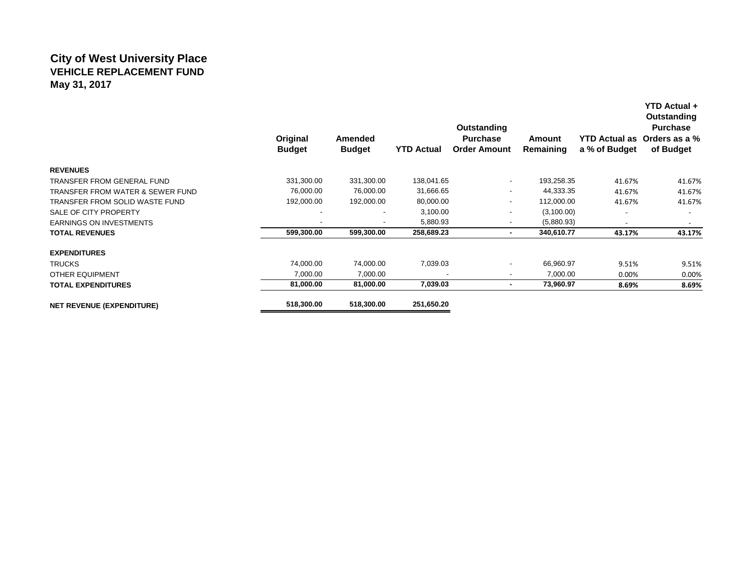## **City of West University Place VEHICLE REPLACEMENT FUND May 31, 2017**

|                                             | Original<br><b>Budget</b> | Amended<br><b>Budget</b> | <b>YTD Actual</b> | Outstanding<br><b>Purchase</b><br><b>Order Amount</b> | Amount<br>Remaining | <b>YTD Actual as</b><br>a % of Budget | Outstanding<br><b>Purchase</b><br>Orders as a %<br>of Budget |
|---------------------------------------------|---------------------------|--------------------------|-------------------|-------------------------------------------------------|---------------------|---------------------------------------|--------------------------------------------------------------|
| <b>REVENUES</b>                             |                           |                          |                   |                                                       |                     |                                       |                                                              |
| <b>TRANSFER FROM GENERAL FUND</b>           | 331,300.00                | 331,300.00               | 138,041.65        | $\overline{\phantom{a}}$                              | 193,258.35          | 41.67%                                | 41.67%                                                       |
| <b>TRANSFER FROM WATER &amp; SEWER FUND</b> | 76,000.00                 | 76,000.00                | 31,666.65         | -                                                     | 44,333.35           | 41.67%                                | 41.67%                                                       |
| TRANSFER FROM SOLID WASTE FUND              | 192,000.00                | 192,000.00               | 80,000.00         | ٠                                                     | 112,000.00          | 41.67%                                | 41.67%                                                       |
| SALE OF CITY PROPERTY                       |                           |                          | 3,100.00          |                                                       | (3,100.00)          |                                       |                                                              |
| <b>EARNINGS ON INVESTMENTS</b>              |                           | $\overline{\phantom{a}}$ | 5,880.93          |                                                       | (5,880.93)          | $\overline{\phantom{a}}$              |                                                              |
| <b>TOTAL REVENUES</b>                       | 599,300.00                | 599,300.00               | 258,689.23        | $\blacksquare$                                        | 340,610.77          | 43.17%                                | 43.17%                                                       |
| <b>EXPENDITURES</b>                         |                           |                          |                   |                                                       |                     |                                       |                                                              |
| <b>TRUCKS</b>                               | 74,000.00                 | 74,000.00                | 7,039.03          | -                                                     | 66,960.97           | 9.51%                                 | 9.51%                                                        |
| <b>OTHER EQUIPMENT</b>                      | 7,000.00                  | 7,000.00                 |                   |                                                       | 7,000.00            | 0.00%                                 | 0.00%                                                        |
| <b>TOTAL EXPENDITURES</b>                   | 81,000.00                 | 81,000.00                | 7,039.03          |                                                       | 73,960.97           | 8.69%                                 | 8.69%                                                        |
| <b>NET REVENUE (EXPENDITURE)</b>            | 518,300.00                | 518,300.00               | 251,650.20        |                                                       |                     |                                       |                                                              |

**YTD Actual +**